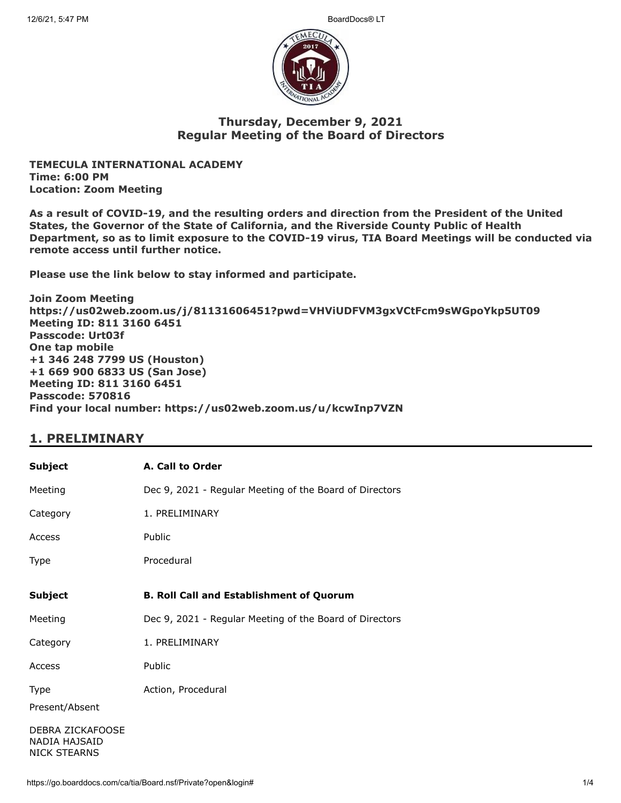

### **Thursday, December 9, 2021 Regular Meeting of the Board of Directors**

**TEMECULA INTERNATIONAL ACADEMY Time: 6:00 PM Location: Zoom Meeting**

**As a result of COVID-19, and the resulting orders and direction from the President of the United States, the Governor of the State of California, and the Riverside County Public of Health Department, so as to limit exposure to the COVID-19 virus, TIA Board Meetings will be conducted via remote access until further notice.**

**Please use the link below to stay informed and participate.** 

**Join Zoom Meeting https://us02web.zoom.us/j/81131606451?pwd=VHViUDFVM3gxVCtFcm9sWGpoYkp5UT09 Meeting ID: 811 3160 6451 Passcode: Urt03f One tap mobile +1 346 248 7799 US (Houston) +1 669 900 6833 US (San Jose) Meeting ID: 811 3160 6451 Passcode: 570816 Find your local number: https://us02web.zoom.us/u/kcwInp7VZN**

### **1. PRELIMINARY**

| <b>Subject</b>                                           | A. Call to Order                                        |
|----------------------------------------------------------|---------------------------------------------------------|
| Meeting                                                  | Dec 9, 2021 - Regular Meeting of the Board of Directors |
| Category                                                 | 1. PRELIMINARY                                          |
| Access                                                   | Public                                                  |
| Type                                                     | Procedural                                              |
| <b>Subject</b>                                           | <b>B. Roll Call and Establishment of Quorum</b>         |
| Meeting                                                  | Dec 9, 2021 - Regular Meeting of the Board of Directors |
| Category                                                 | 1. PRELIMINARY                                          |
| Access                                                   | Public                                                  |
| Type<br>Present/Absent                                   | Action, Procedural                                      |
| DEBRA ZICKAFOOSE<br>NADIA HAJSAID<br><b>NICK STEARNS</b> |                                                         |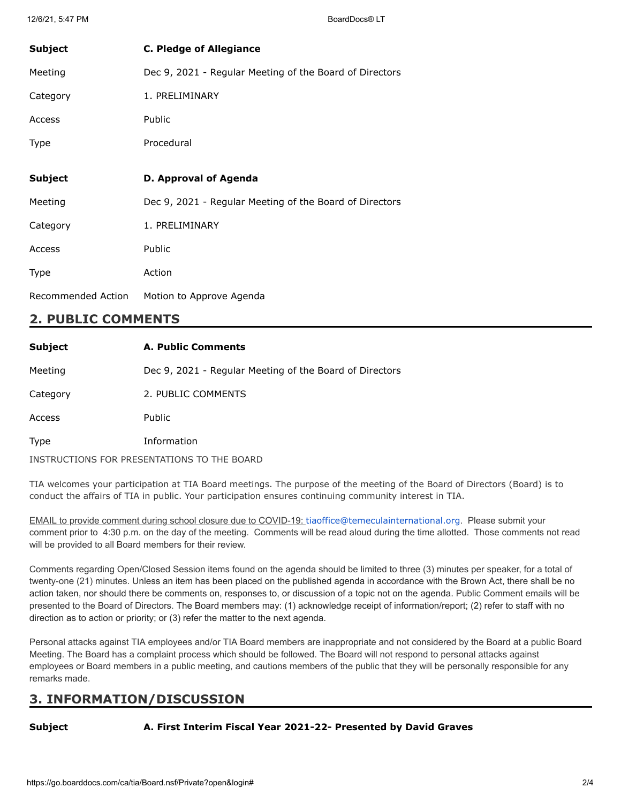| <b>Subject</b> | <b>C. Pledge of Allegiance</b>                          |
|----------------|---------------------------------------------------------|
| Meeting        | Dec 9, 2021 - Regular Meeting of the Board of Directors |
| Category       | 1. PRELIMINARY                                          |
| Access         | <b>Public</b>                                           |
| Type           | Procedural                                              |
|                |                                                         |
|                |                                                         |
| <b>Subject</b> | D. Approval of Agenda                                   |
| Meeting        | Dec 9, 2021 - Regular Meeting of the Board of Directors |
| Category       | 1. PRELIMINARY                                          |
| Access         | Public                                                  |
| Type           | Action                                                  |

## **2. PUBLIC COMMENTS**

| <b>Subject</b> | A. Public Comments                                      |
|----------------|---------------------------------------------------------|
| Meeting        | Dec 9, 2021 - Regular Meeting of the Board of Directors |
| Category       | 2. PUBLIC COMMENTS                                      |
| Access         | <b>Public</b>                                           |
| Type           | Information                                             |
|                | INSTRUCTIONS FOR PRESENTATIONS TO THE BOARD             |

TIA welcomes your participation at TIA Board meetings. The purpose of the meeting of the Board of Directors (Board) is to conduct the affairs of TIA in public. Your participation ensures continuing community interest in TIA.

EMAIL to provide comment during school closure due to COVID-19: [tiaoffice@temeculainternational.org](mailto:tiaoffice@temeculainternational.org). Please submit your comment prior to 4:30 p.m. on the day of the meeting. Comments will be read aloud during the time allotted. Those comments not read will be provided to all Board members for their review.

Comments regarding Open/Closed Session items found on the agenda should be limited to three (3) minutes per speaker, for a total of twenty-one (21) minutes. Unless an item has been placed on the published agenda in accordance with the Brown Act, there shall be no action taken, nor should there be comments on, responses to, or discussion of a topic not on the agenda. Public Comment emails will be presented to the Board of Directors. The Board members may: (1) acknowledge receipt of information/report; (2) refer to staff with no direction as to action or priority; or (3) refer the matter to the next agenda.

Personal attacks against TIA employees and/or TIA Board members are inappropriate and not considered by the Board at a public Board Meeting. The Board has a complaint process which should be followed. The Board will not respond to personal attacks against employees or Board members in a public meeting, and cautions members of the public that they will be personally responsible for any remarks made.

# **3. INFORMATION/DISCUSSION**

**Subject A. First Interim Fiscal Year 2021-22- Presented by David Graves**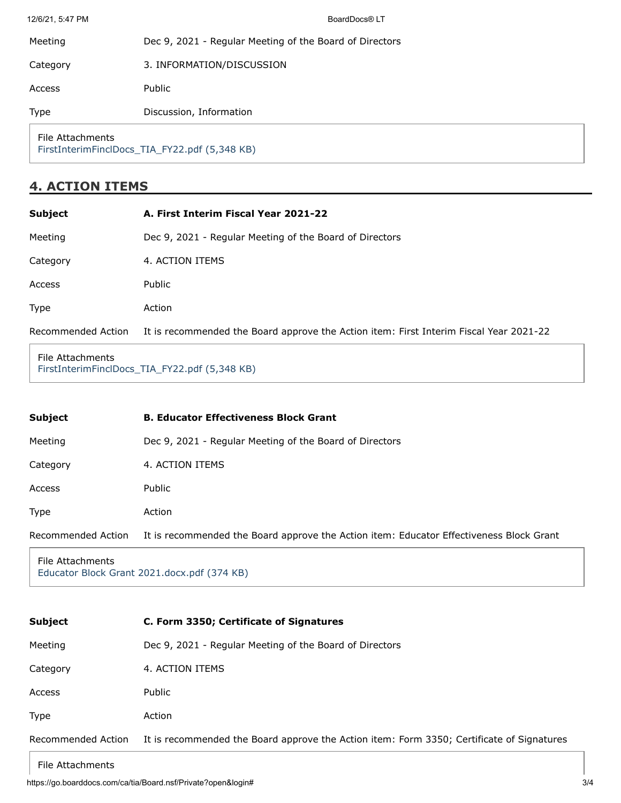| Discussion, Information   |
|---------------------------|
|                           |
| 3. INFORMATION/DISCUSSION |

# **4. ACTION ITEMS**

| <b>Subject</b>     | A. First Interim Fiscal Year 2021-22                                                   |
|--------------------|----------------------------------------------------------------------------------------|
| Meeting            | Dec 9, 2021 - Regular Meeting of the Board of Directors                                |
| Category           | 4. ACTION ITEMS                                                                        |
| Access             | Public                                                                                 |
| Type               | Action                                                                                 |
| Recommended Action | It is recommended the Board approve the Action item: First Interim Fiscal Year 2021-22 |

File Attachments [FirstInterimFinclDocs\\_TIA\\_FY22.pdf \(5,348 KB\)](https://go.boarddocs.com/ca/tia/Board.nsf/files/C9G3ZT095596/$file/FirstInterimFinclDocs_TIA_FY22.pdf)

| <b>Subject</b>     | <b>B. Educator Effectiveness Block Grant</b>                                            |
|--------------------|-----------------------------------------------------------------------------------------|
| Meeting            | Dec 9, 2021 - Regular Meeting of the Board of Directors                                 |
| Category           | 4. ACTION ITEMS                                                                         |
| Access             | Public                                                                                  |
| Type               | Action                                                                                  |
| Recommended Action | It is recommended the Board approve the Action item: Educator Effectiveness Block Grant |
|                    |                                                                                         |

File Attachments [Educator Block Grant 2021.docx.pdf \(374 KB\)](https://go.boarddocs.com/ca/tia/Board.nsf/files/C9FTHX7522B9/$file/Educator%20Block%20Grant%202021.docx.pdf)

| <b>Subject</b>     | C. Form 3350; Certificate of Signatures                                                   |
|--------------------|-------------------------------------------------------------------------------------------|
| Meeting            | Dec 9, 2021 - Regular Meeting of the Board of Directors                                   |
| Category           | 4. ACTION ITEMS                                                                           |
| Access             | Public                                                                                    |
| <b>Type</b>        | Action                                                                                    |
| Recommended Action | It is recommended the Board approve the Action item: Form 3350; Certificate of Signatures |

### File Attachments